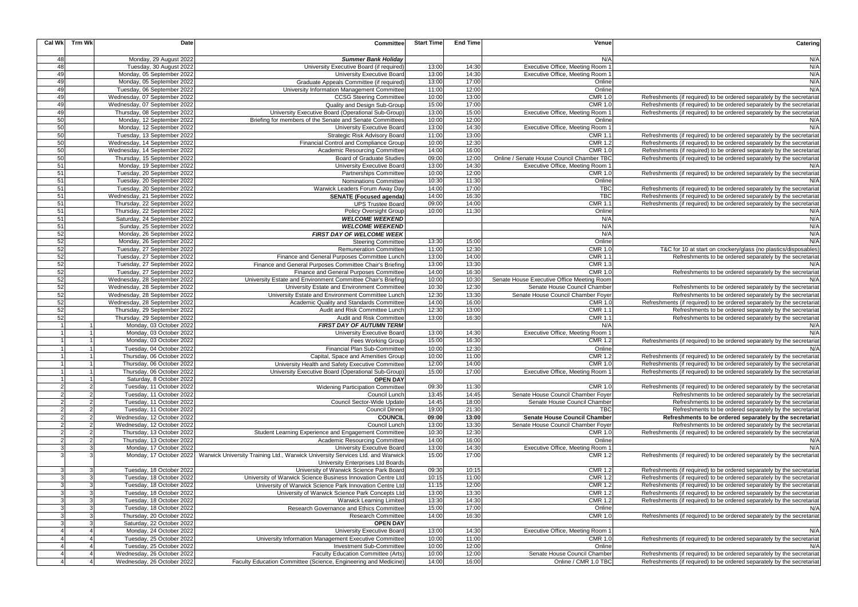| <b>Cal Wk</b> | <b>Trm Wk</b>         | <b>Date</b>                                              | <b>Committee</b>                                                                                       | <b>Start Time</b> | <b>End Time</b> | Venue                                      | Catering                                                                                                                    |
|---------------|-----------------------|----------------------------------------------------------|--------------------------------------------------------------------------------------------------------|-------------------|-----------------|--------------------------------------------|-----------------------------------------------------------------------------------------------------------------------------|
| 48            |                       | Monday, 29 August 2022                                   | <b>Summer Bank Holiday</b>                                                                             |                   |                 | N/A                                        | N/A                                                                                                                         |
| 48            |                       | Tuesday, 30 August 2022                                  | University Executive Board (if required)                                                               | 13:00             | 14:30           | Executive Office, Meeting Room             | N/A                                                                                                                         |
| 49            |                       | Monday, 05 September 2022                                | University Executive Board                                                                             | 13:00             | 14:30           | Executive Office, Meeting Room             | N/A                                                                                                                         |
| 49            |                       | Monday, 05 September 2022                                | Graduate Appeals Committee (if required)                                                               | 13:00             | 17:00           | Online                                     | N/A                                                                                                                         |
| 49            |                       | Tuesday, 06 September 2022                               | University Information Management Committee                                                            | 11:00             | 12:00           | Online                                     | N/A                                                                                                                         |
| 49            |                       | Wednesday, 07 September 2022                             | <b>CCSG Steering Committee</b>                                                                         | 10:00             | 13:00           | <b>CMR 1.0</b>                             | Refreshments (if required) to be ordered separately by the secretariat                                                      |
| 49            |                       | Wednesday, 07 September 2022                             | Quality and Design Sub-Group                                                                           | 15:00             | 17:00           | <b>CMR 1.0</b>                             | Refreshments (if required) to be ordered separately by the secretariat                                                      |
| 49            |                       | Thursday, 08 September 2022                              | University Executive Board (Operational Sub-Group)                                                     | 13:00             | 15:00           | Executive Office, Meeting Room             | Refreshments (if required) to be ordered separately by the secretariat                                                      |
| 50            |                       | Monday, 12 September 2022                                | Briefing for members of the Senate and Senate Committees                                               | 10:00             | 12:00           | Online                                     | N/A                                                                                                                         |
| 50            |                       | Monday, 12 September 2022                                | <b>University Executive Board</b>                                                                      | 13:00             | 14:30           | Executive Office, Meeting Room             | N/A                                                                                                                         |
| 50            |                       | Tuesday, 13 September 2022                               | <b>Strategic Risk Advisory Board</b>                                                                   | 11:00             | 13:00           | CMR 1.1                                    | Refreshments (if required) to be ordered separately by the secretariat                                                      |
| 50            |                       | Wednesday, 14 September 2022                             | Financial Control and Compliance Group                                                                 | 10:00             | 12:30           | <b>CMR 1.2</b>                             | Refreshments (if required) to be ordered separately by the secretariat                                                      |
| 50            |                       | Wednesday, 14 September 2022                             | Academic Resourcing Committee                                                                          | 14:00             | 16:00           | <b>CMR 1.0</b>                             | Refreshments (if required) to be ordered separately by the secretariat                                                      |
| 50            |                       | Thursday, 15 September 2022                              | <b>Board of Graduate Studies</b>                                                                       | 09:00             | 12:00           | Online / Senate House Council Chamber TBC  | Refreshments (if required) to be ordered separately by the secretariat                                                      |
| 51            |                       | Monday, 19 September 2022                                | <b>University Executive Board</b>                                                                      | 13:00             | 14:30           | Executive Office, Meeting Room             | N/A                                                                                                                         |
| 51            |                       | Tuesday, 20 September 2022                               | <b>Partnerships Committee</b>                                                                          | 10:00             | 12:00           | <b>CMR 1.0</b>                             | Refreshments (if required) to be ordered separately by the secretariat                                                      |
| 51            |                       | Tuesday, 20 September 2022                               | Nominations Committee                                                                                  | 10:30             | 11:30           | Online                                     | N/A                                                                                                                         |
| 51            |                       | Tuesday, 20 September 2022                               | Warwick Leaders Forum Away Day                                                                         | 14:00             | 17:00           | <b>TBC</b>                                 | Refreshments (if required) to be ordered separately by the secretariat                                                      |
| 51            |                       | Wednesday, 21 September 2022                             | <b>SENATE (Focused agenda)</b>                                                                         | 14:00             | 16:30           | <b>TBC</b>                                 | Refreshments (if required) to be ordered separately by the secretariat                                                      |
| 51            |                       | Thursday, 22 September 2022                              | <b>UPS Trustee Board</b>                                                                               | 09:00             | 14:00           | CMR 1.1                                    | Refreshments (if required) to be ordered separately by the secretariat                                                      |
| 51            |                       | Thursday, 22 September 2022                              | <b>Policy Oversight Group</b>                                                                          | 10:00             | 11:30           | Online                                     | N/A                                                                                                                         |
| 51            |                       | Saturday, 24 September 2022                              | <b>WELCOME WEEKEND</b>                                                                                 |                   |                 | N/A                                        | N/A                                                                                                                         |
| 51            |                       | Sunday, 25 September 2022                                | <b>WELCOME WEEKEND</b>                                                                                 |                   |                 | N/A                                        | N/A                                                                                                                         |
| 52            |                       | Monday, 26 September 2022                                | FIRST DAY OF WELCOME WEEK                                                                              |                   |                 | N/A                                        | N/A<br>N/A                                                                                                                  |
| 52<br>52      |                       | Monday, 26 September 2022                                | Steering Committee<br>Remuneration Committee                                                           | 13:30<br>11:00    | 15:00<br>12:30  | Online<br><b>CMR 1.0</b>                   |                                                                                                                             |
| 52            |                       | Tuesday, 27 September 2022<br>Tuesday, 27 September 2022 | Finance and General Purposes Committee Lunch                                                           | 13:00             | 14:00           | <b>CMR 1.1</b>                             | T&C for 10 at start on crockery/glass (no plastics/disposables)<br>Refreshments to be ordered separately by the secretariat |
| 52            |                       | Tuesday, 27 September 2022                               | Finance and General Purposes Committee Chair's Briefing                                                | 13:00             | 13:30           | <b>CMR 1.3</b>                             | N/A                                                                                                                         |
| 52            |                       | Tuesday, 27 September 2022                               | Finance and General Purposes Committee                                                                 | 14:00             | 16:30           | <b>CMR 1.0</b>                             | Refreshments to be ordered separately by the secretariat                                                                    |
| 52            |                       | Wednesday, 28 September 2022                             | University Estate and Environment Committee Chair's Briefing                                           | 10:00             | 10:30           | Senate House Executive Office Meeting Room | N/A                                                                                                                         |
| 52            |                       | Wednesday, 28 September 2022                             | University Estate and Environment Committee                                                            | 10:30             | 12:30           | Senate House Council Chamber               | Refreshments to be ordered separately by the secretariat                                                                    |
| 52            |                       | Wednesday, 28 September 2022                             | University Estate and Environment Committee Lunch                                                      | 12:30             | 13:30           | Senate House Council Chamber Foyer         | Refreshments to be ordered separately by the secretariat                                                                    |
| 52            |                       | Wednesday, 28 September 2022                             | Academic Quality and Standards Committee                                                               | 14:00             | 16:00           | <b>CMR 1.0</b>                             | Refreshments (if required) to be ordered separately by the secretariat                                                      |
| 52            |                       | Thursday, 29 September 2022                              | Audit and Risk Committee Lunch                                                                         | 12:30             | 13:00           | <b>CMR 1.1</b>                             | Refreshments to be ordered separately by the secretariat                                                                    |
| 52            |                       | Thursday, 29 September 2022                              | Audit and Risk Committee                                                                               | 13:00             | 16:30           | <b>CMR 1.1</b>                             | Refreshments to be ordered separately by the secretariat                                                                    |
|               |                       | Monday, 03 October 2022                                  | <b>FIRST DAY OF AUTUMN TERM</b>                                                                        |                   |                 | N/A                                        | N/A                                                                                                                         |
|               |                       | Monday, 03 October 2022                                  | University Executive Board                                                                             | 13:00             | 14:30           | Executive Office, Meeting Room             | N/A                                                                                                                         |
|               |                       | Monday, 03 October 2022                                  | Fees Working Group                                                                                     | 15:00             | 16:30           | <b>CMR 1.2</b>                             | Refreshments (if required) to be ordered separately by the secretariat                                                      |
|               |                       | Tuesday, 04 October 2022                                 | <b>Financial Plan Sub-Committee</b>                                                                    | 10:00             | 12:30           | Online                                     | N/A                                                                                                                         |
|               |                       | Thursday, 06 October 2022                                | Capital, Space and Amenities Group                                                                     | 10:00             | 11:00           | <b>CMR 1.2</b>                             | Refreshments (if required) to be ordered separately by the secretariat                                                      |
|               |                       | Thursday, 06 October 2022                                | University Health and Safety Executive Committee                                                       | 12:00             | 14:00           | <b>CMR 1.0</b>                             | Refreshments (if required) to be ordered separately by the secretariat                                                      |
|               |                       | Thursday, 06 October 2022                                | University Executive Board (Operational Sub-Group)                                                     | 15:00             | 17:00           | Executive Office, Meeting Room 1           | Refreshments (if required) to be ordered separately by the secretariat                                                      |
|               |                       | Saturday, 8 October 2022                                 | <b>OPEN DAY</b>                                                                                        |                   |                 |                                            |                                                                                                                             |
|               | 2                     | Tuesday, 11 October 2022                                 | <b>Widening Participation Committee</b>                                                                | 09:30             | 11:30           | <b>CMR 1.0</b>                             | Refreshments (if required) to be ordered separately by the secretariat                                                      |
|               | 2                     | Tuesday, 11 October 2022                                 | Council Lunch                                                                                          | 13:45             | 14:45           | Senate House Council Chamber Foyer         | Refreshments to be ordered separately by the secretariat                                                                    |
|               | $\overline{2}$        | Tuesday, 11 October 2022                                 | Council Sector-Wide Update                                                                             | 14:45             | 18:00           | Senate House Council Chamber               | Refreshments to be ordered separately by the secretariat                                                                    |
|               | $2 \vert$             | Tuesday, 11 October 2022                                 | <b>Council Dinner</b>                                                                                  | 19:00             | 21:30           | <b>TBC</b>                                 | Refreshments to be ordered separately by the secretariat                                                                    |
|               | 2                     | Wednesday, 12 October 2022                               | <b>COUNCIL</b>                                                                                         | 09:00             | 13:00           | <b>Senate House Council Chamber</b>        | Refreshments to be ordered separately by the secretariat                                                                    |
|               | 2                     | Wednesday, 12 October 2022                               | Council Lunch                                                                                          | 13:00             | 13:30           | Senate House Council Chamber Foyer         | Refreshments to be ordered separately by the secretariat                                                                    |
|               | 2                     | Thursday, 13 October 2022                                | Student Learning Experience and Engagement Committee                                                   | 10:30             | 12:30           | <b>CMR 1.0</b>                             | Refreshments (if required) to be ordered separately by the secretariat                                                      |
|               | 2                     | Thursday, 13 October 2022                                | <b>Academic Resourcing Committee</b>                                                                   | 14:00             | 16:00           | Online                                     | N/A                                                                                                                         |
|               | 3                     | Monday, 17 October 2022                                  | University Executive Board                                                                             | 13:00             | 14:30           | Executive Office, Meeting Room             | N/A                                                                                                                         |
|               |                       |                                                          | Monday, 17 October 2022 Warwick University Training Ltd., Warwick University Services Ltd. and Warwick | 15:00             | 17:00           | <b>CMR 1.2</b>                             | Refreshments (if required) to be ordered separately by the secretariat                                                      |
|               |                       |                                                          | University Enterprises Ltd Boards                                                                      |                   |                 |                                            |                                                                                                                             |
|               | 3                     | Tuesday, 18 October 2022                                 | University of Warwick Science Park Board                                                               | 09:30             | 10:15           | <b>CMR 1.2</b>                             | Refreshments (if required) to be ordered separately by the secretariat                                                      |
|               | 3                     | Tuesday, 18 October 2022                                 | University of Warwick Science Business Innovation Centre Ltd                                           | 10:15             | 11:00           | <b>CMR 1.2</b>                             | Refreshments (if required) to be ordered separately by the secretariat                                                      |
|               | 3                     | Tuesday, 18 October 2022                                 | University of Warwick Science Park Innovation Centre Ltd                                               | 11:15             | 12:00           | <b>CMR 1.2</b>                             | Refreshments (if required) to be ordered separately by the secretariat                                                      |
|               | 3<br>3                | Tuesday, 18 October 2022                                 | University of Warwick Science Park Concepts Ltd                                                        | 13:00             | 13:30           | <b>CMR 1.2</b><br><b>CMR 1.2</b>           | Refreshments (if required) to be ordered separately by the secretariat                                                      |
|               | 3                     | Tuesday, 18 October 2022<br>Tuesday, 18 October 2022     | <b>Warwick Learning Limited</b><br>Research Governance and Ethics Committee                            | 13:30<br>15:00    | 14:30<br>17:00  | Online                                     | Refreshments (if required) to be ordered separately by the secretariat<br>N/A                                               |
|               | 3                     | Thursday, 20 October 2022                                | <b>Research Committee</b>                                                                              | 14:00             | 16:30           | <b>CMR 1.0</b>                             | Refreshments (if required) to be ordered separately by the secretariat                                                      |
|               | 3                     | Saturday, 22 October 2022                                | <b>OPEN DAY</b>                                                                                        |                   |                 |                                            |                                                                                                                             |
|               | $\boldsymbol{\Delta}$ | Monday, 24 October 2022                                  | University Executive Board                                                                             | 13:00             | 14:30           | Executive Office, Meeting Room 1           | N/A                                                                                                                         |
|               |                       | Tuesday, 25 October 2022                                 | University Information Management Executive Committee                                                  | 10:00             | 11:00           | <b>CMR 1.0</b>                             | Refreshments (if required) to be ordered separately by the secretariat                                                      |
|               |                       | Tuesday, 25 October 2022                                 | <b>Investment Sub-Committee</b>                                                                        | 10:00             | 12:00           | Online                                     | N/A                                                                                                                         |
|               | $\overline{4}$        | Wednesday, 26 October 2022                               | Faculty Education Committee (Arts)                                                                     | 10:00             | 12:00           | Senate House Council Chamber               | Refreshments (if required) to be ordered separately by the secretariat                                                      |
|               | $\overline{4}$        | Wednesday, 26 October 2022                               | Faculty Education Committee (Science, Engineering and Medicine)                                        | 14:00             | 16:00           | Online / CMR 1.0 TBC                       | Refreshments (if required) to be ordered separately by the secretariat                                                      |
|               |                       |                                                          |                                                                                                        |                   |                 |                                            |                                                                                                                             |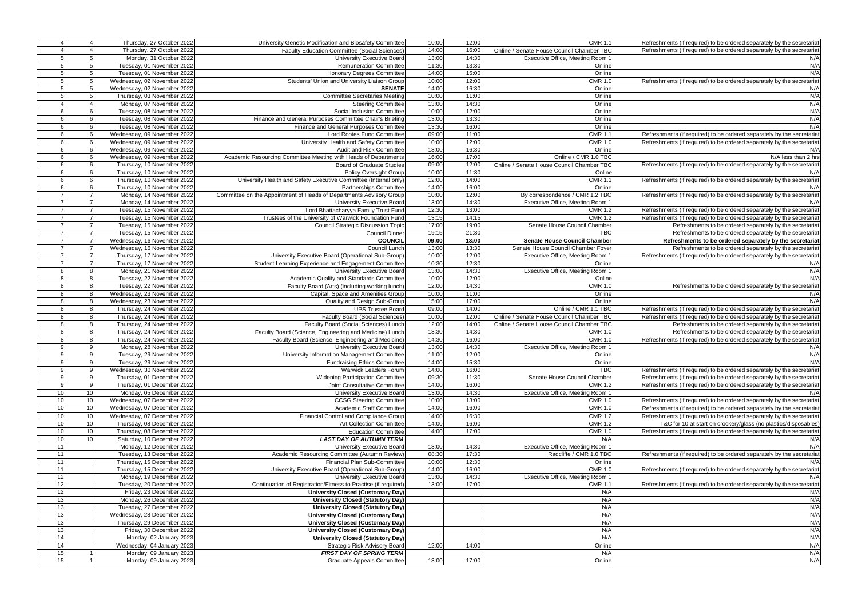|                 |                 | Thursday, 27 October 2022   | University Genetic Modification and Biosafety Committee             | 10:00 | 12:00 | <b>CMR 1.1</b>                            | Refreshments (if required) to be ordered separately by the secretariat |
|-----------------|-----------------|-----------------------------|---------------------------------------------------------------------|-------|-------|-------------------------------------------|------------------------------------------------------------------------|
|                 |                 | Thursday, 27 October 2022   | <b>Faculty Education Committee (Social Sciences)</b>                | 14:00 | 16:00 | Online / Senate House Council Chamber TBC | Refreshments (if required) to be ordered separately by the secretariat |
|                 | 5               | Monday, 31 October 2022     | University Executive Board                                          | 13:00 | 14:30 | Executive Office, Meeting Room 1          | N/A                                                                    |
|                 | 5               | Tuesday, 01 November 2022   | <b>Remuneration Committee</b>                                       | 11:30 | 13:30 | Online                                    | N/A                                                                    |
|                 | 5               | Tuesday, 01 November 2022   | Honorary Degrees Committee                                          | 14:00 | 15:00 | Online                                    | N/A                                                                    |
| 5               | 5               | Wednesday, 02 November 2022 | Students' Union and University Liaison Group                        | 10:00 | 12:00 | <b>CMR 1.0</b>                            | Refreshments (if required) to be ordered separately by the secretariat |
|                 | 5               |                             |                                                                     | 14:00 | 16:30 | Online                                    | N/A                                                                    |
|                 |                 | Wednesday, 02 November 2022 | <b>SENATE</b>                                                       |       |       |                                           |                                                                        |
|                 | 5               | Thursday, 03 November 2022  | <b>Committee Secretaries Meeting</b>                                | 10:00 | 11:00 | Online                                    | N/A                                                                    |
|                 | $\overline{4}$  | Monday, 07 November 2022    | <b>Steering Committee</b>                                           | 13:00 | 14:30 | Online                                    | N/A                                                                    |
|                 | 6               | Tuesday, 08 November 2022   | Social Inclusion Committee                                          | 10:00 | 12:00 | Online                                    | N/A                                                                    |
|                 | 6               | Tuesday, 08 November 2022   | Finance and General Purposes Committee Chair's Briefing             | 13:00 | 13:30 | Online                                    | N/A                                                                    |
|                 | 6               | Tuesday, 08 November 2022   | Finance and General Purposes Committee                              | 13:30 | 16:00 | Online                                    | N/A                                                                    |
|                 | 6               | Wednesday, 09 November 2022 | Lord Rootes Fund Committee                                          | 09:00 | 11:00 | <b>CMR 1.1</b>                            | Refreshments (if required) to be ordered separately by the secretariat |
|                 | 6               | Wednesday, 09 November 2022 | University Health and Safety Committee                              | 10:00 | 12:00 | <b>CMR 1.0</b>                            | Refreshments (if required) to be ordered separately by the secretariat |
|                 | 6               | Wednesday, 09 November 2022 | Audit and Risk Committee                                            | 13:00 | 16:30 | Online                                    | N/A                                                                    |
|                 | 6               | Wednesday, 09 November 2022 | Academic Resourcing Committee Meeting with Heads of Departments     | 16:00 | 17:00 | Online / CMR 1.0 TBC                      | N/A less than 2 hrs                                                    |
|                 | 6               | Thursday, 10 November 2022  | <b>Board of Graduate Studies</b>                                    | 09:00 | 12:00 | Online / Senate House Council Chamber TBC | Refreshments (if required) to be ordered separately by the secretariat |
|                 | 6               | Thursday, 10 November 2022  |                                                                     | 10:00 | 11:30 | Online                                    | N/A                                                                    |
|                 |                 |                             | <b>Policy Oversight Group</b>                                       |       |       |                                           |                                                                        |
|                 | 6               | Thursday, 10 November 2022  | University Health and Safety Executive Committee (Internal only)    | 12:00 | 14:00 | <b>CMR 1.1</b>                            | Refreshments (if required) to be ordered separately by the secretariat |
|                 | 6               | Thursday, 10 November 2022  | <b>Partnerships Committee</b>                                       | 14:00 | 16:00 | Online                                    | N/A                                                                    |
| $\overline{7}$  | $\overline{7}$  | Monday, 14 November 2022    | Committee on the Appointment of Heads of Departments Advisory Group | 10:00 | 12:00 | By correspondence / CMR 1.2 TBC           | Refreshments (if required) to be ordered separately by the secretariat |
|                 | $\overline{7}$  | Monday, 14 November 2022    | University Executive Board                                          | 13:00 | 14:30 | Executive Office, Meeting Room            | N/A                                                                    |
| $\overline{7}$  | $\overline{7}$  | Tuesday, 15 November 2022   | Lord Bhattacharyya Family Trust Fund                                | 12:30 | 13:00 | <b>CMR 1.2</b>                            | Refreshments (if required) to be ordered separately by the secretariat |
|                 | $\overline{7}$  | Tuesday, 15 November 2022   | Trustees of the University of Warwick Foundation Fund               | 13:15 | 14:15 | <b>CMR 1.2</b>                            | Refreshments (if required) to be ordered separately by the secretariat |
|                 | $\overline{7}$  | Tuesday, 15 November 2022   | <b>Council Strategic Discussion Topic</b>                           | 17:00 | 19:00 | Senate House Council Chamber              | Refreshments to be ordered separately by the secretariat               |
|                 | $\overline{7}$  | Tuesday, 15 November 2022   | <b>Council Dinner</b>                                               | 19:15 | 21:30 | <b>TBC</b>                                | Refreshments to be ordered separately by the secretariat               |
|                 | $\overline{7}$  | Wednesday, 16 November 2022 | <b>COUNCIL</b>                                                      | 09:00 | 13:00 | <b>Senate House Council Chamber</b>       | Refreshments to be ordered separately by the secretariat               |
|                 | 7               | Wednesday, 16 November 2022 | Council Lunch                                                       | 13:00 | 13:30 | Senate House Council Chamber Foyer        | Refreshments to be ordered separately by the secretariat               |
| $\overline{7}$  | $\overline{7}$  | Thursday, 17 November 2022  | University Executive Board (Operational Sub-Group)                  | 10:00 | 12:00 | Executive Office, Meeting Room            | Refreshments (if required) to be ordered separately by the secretariat |
| $\overline{7}$  | $\overline{7}$  | Thursday, 17 November 2022  | Student Learning Experience and Engagement Committee                | 10:30 | 12:30 | Online                                    | N/A                                                                    |
| 8               |                 |                             |                                                                     | 13:00 | 14:30 |                                           | N/A                                                                    |
|                 | 8               | Monday, 21 November 2022    | <b>University Executive Board</b>                                   |       |       | Executive Office, Meeting Room            |                                                                        |
| 8               | 8               | Tuesday, 22 November 2022   | Academic Quality and Standards Committee                            | 10:00 | 12:00 | Online                                    | N/A                                                                    |
|                 | 8               | Tuesday, 22 November 2022   | Faculty Board (Arts) (including working lunch)                      | 12:00 | 14:30 | <b>CMR 1.0</b>                            | Refreshments to be ordered separately by the secretariat               |
| 8               | 8               | Wednesday, 23 November 2022 | Capital, Space and Amenities Group                                  | 10:00 | 11:00 | Online                                    | N/A                                                                    |
| 8               | 8               | Wednesday, 23 November 2022 | Quality and Design Sub-Group                                        | 15:00 | 17:00 | Online                                    | N/A                                                                    |
| 8               | 8               | Thursday, 24 November 2022  | <b>UPS Trustee Board</b>                                            | 09:00 | 14:00 | Online / CMR 1.1 TBC                      | Refreshments (if required) to be ordered separately by the secretariat |
| R               | 8               | Thursday, 24 November 2022  | Faculty Board (Social Sciences)                                     | 10:00 | 12:00 | Online / Senate House Council Chamber TBC | Refreshments (if required) to be ordered separately by the secretariat |
| 8               | 8               | Thursday, 24 November 2022  | Faculty Board (Social Sciences) Lunch                               | 12:00 | 14:00 | Online / Senate House Council Chamber TBC | Refreshments to be ordered separately by the secretariat               |
| $\mathsf{R}$    | 8               | Thursday, 24 November 2022  | Faculty Board (Science, Engineering and Medicine) Lunch             | 13:30 | 14:30 | <b>CMR 1.0</b>                            | Refreshments to be ordered separately by the secretariat               |
| 8               | 8               | Thursday, 24 November 2022  | Faculty Board (Science, Engineering and Medicine)                   | 14:30 | 16:00 | <b>CMR 1.0</b>                            | Refreshments (if required) to be ordered separately by the secretariat |
| 9               | 9               | Monday, 28 November 2022    | <b>University Executive Board</b>                                   | 13:00 | 14:30 | Executive Office, Meeting Room 1          | N/A                                                                    |
| <b>q</b>        | 9               | Tuesday, 29 November 2022   | University Information Management Committee                         | 11:00 | 12:00 | Online                                    | N/A                                                                    |
|                 | 9               | Tuesday, 29 November 2022   | <b>Fundraising Ethics Committee</b>                                 | 14:00 | 15:30 | Online                                    | N/A                                                                    |
| $\mathsf{Q}$    | 9               |                             |                                                                     | 14:00 | 16:00 | <b>TBC</b>                                |                                                                        |
|                 |                 | Wednesday, 30 November 2022 | Warwick Leaders Forum                                               |       |       |                                           | Refreshments (if required) to be ordered separately by the secretariat |
|                 | 9               | Thursday, 01 December 2022  | <b>Widening Participation Committee</b>                             | 09:30 | 11:30 | Senate House Council Chamber              | Refreshments (if required) to be ordered separately by the secretariat |
| 9               | 9               | Thursday, 01 December 2022  | Joint Consultative Committee                                        | 14:00 | 16:00 | <b>CMR 1.2</b>                            | Refreshments (if required) to be ordered separately by the secretariat |
| 10              | 10 <sup>1</sup> | Monday, 05 December 2022    | University Executive Board                                          | 13:00 | 14:30 | Executive Office, Meeting Room 1          | N/A                                                                    |
| 10              | 10              | Wednesday, 07 December 2022 | <b>CCSG Steering Committee</b>                                      | 10:00 | 13:00 | <b>CMR 1.0</b>                            | Refreshments (if required) to be ordered separately by the secretariat |
| 10              | 10              | Wednesday, 07 December 2022 | <b>Academic Staff Committee</b>                                     | 14:00 | 16:00 | <b>CMR 1.0</b>                            | Refreshments (if required) to be ordered separately by the secretariat |
| 10              | 10 <sup>1</sup> | Wednesday, 07 December 2022 | Financial Control and Compliance Group                              | 14:00 | 16:30 | <b>CMR 1.2</b>                            | Refreshments (if required) to be ordered separately by the secretariat |
| 10              | 10              | Thursday, 08 December 2022  | <b>Art Collection Committee</b>                                     | 14:00 | 16:00 | <b>CMR 1.2</b>                            | T&C for 10 at start on crockery/glass (no plastics/disposables)        |
| 10              | 10              | Thursday, 08 December 2022  | <b>Education Committee</b>                                          | 14:00 | 17:00 | <b>CMR 1.0</b>                            | Refreshments (if required) to be ordered separately by the secretariat |
| 10 <sup>1</sup> | 10 <sup>1</sup> | Saturday, 10 December 2022  | <b>LAST DAY OF AUTUMN TERM</b>                                      |       |       | N/A                                       | N/A                                                                    |
| 11              |                 | Monday, 12 December 2022    | University Executive Board                                          | 13:00 | 14:30 | Executive Office, Meeting Room 1          | N/A                                                                    |
| 11              |                 | Tuesday, 13 December 2022   |                                                                     | 08:30 | 17:30 | Radcliffe / CMR 1.0 TBC                   | Refreshments (if required) to be ordered separately by the secretariat |
|                 |                 |                             | Academic Resourcing Committee (Autumn Review)                       |       |       |                                           |                                                                        |
| 11              |                 | Thursday, 15 December 2022  | Financial Plan Sub-Committee                                        | 10:00 | 12:30 | Online                                    | N/A                                                                    |
| 11              |                 | Thursday, 15 December 2022  | University Executive Board (Operational Sub-Group)                  | 14:00 | 16:00 | <b>CMR 1.0</b>                            | Refreshments (if required) to be ordered separately by the secretariat |
| 12              |                 | Monday, 19 December 2022    | University Executive Board                                          | 13:00 | 14:30 | Executive Office, Meeting Room 1          | N/A                                                                    |
| 12              |                 | Tuesday, 20 December 2022   | Continuation of Registration/Fitness to Practise (if required)      | 13:00 | 17:00 | <b>CMR 1.1</b>                            | Refreshments (if required) to be ordered separately by the secretariat |
| 12              |                 | Friday, 23 December 2022    | <b>University Closed (Customary Day)</b>                            |       |       | N/A                                       | N/A                                                                    |
| 13              |                 | Monday, 26 December 2022    | <b>University Closed (Statutory Day)</b>                            |       |       | N/A                                       | N/A                                                                    |
| 13              |                 | Tuesday, 27 December 2022   | <b>University Closed (Statutory Day)</b>                            |       |       | N/A                                       | N/A                                                                    |
| 13              |                 | Wednesday, 28 December 2022 | <b>University Closed (Customary Day)</b>                            |       |       | N/A                                       | N/A                                                                    |
| 13              |                 | Thursday, 29 December 2022  | <b>University Closed (Customary Day)</b>                            |       |       | N/A                                       | N/A                                                                    |
| 13              |                 | Friday, 30 December 2022    | <b>University Closed (Customary Day)</b>                            |       |       | N/A                                       | N/A                                                                    |
| 14              |                 | Monday, 02 January 2023     | <b>University Closed (Statutory Day)</b>                            |       |       | N/A                                       | N/A                                                                    |
| 14              |                 | Wednesday, 04 January 2023  | <b>Strategic Risk Advisory Board</b>                                | 12:00 | 14:00 | Online                                    | N/A                                                                    |
|                 |                 |                             |                                                                     |       |       |                                           |                                                                        |
| 15              |                 | Monday, 09 January 2023     | <b>FIRST DAY OF SPRING TERM</b>                                     |       |       | N/A                                       | N/A                                                                    |
| 15              |                 | Monday, 09 January 2023     | <b>Graduate Appeals Committee</b>                                   | 13:00 | 17:00 | Online                                    | N/A                                                                    |
|                 |                 |                             |                                                                     |       |       |                                           |                                                                        |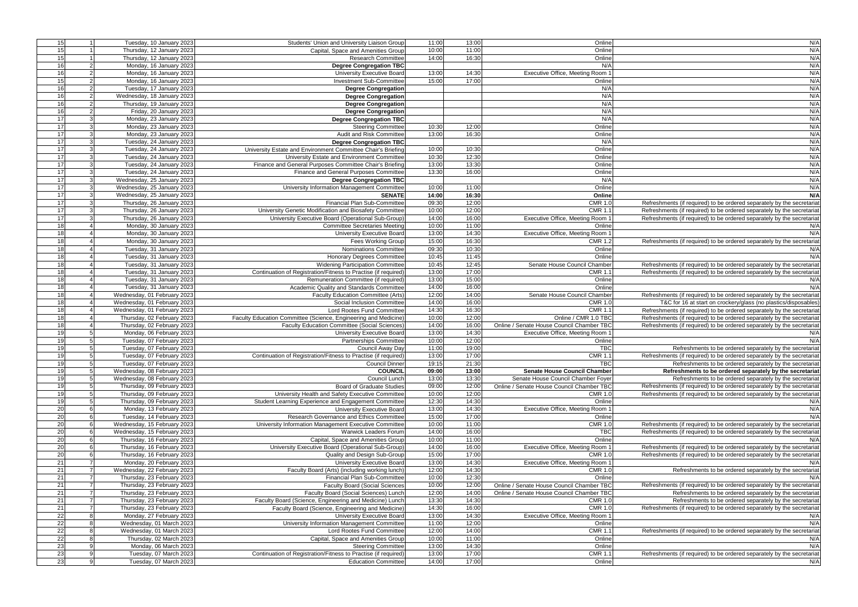| 15              | Tuesday, 10 January 2023                                                    | Students' Union and University Liaison Group                                                                | 11:00          | 13:00          | Online                                    | N/A                                                                           |
|-----------------|-----------------------------------------------------------------------------|-------------------------------------------------------------------------------------------------------------|----------------|----------------|-------------------------------------------|-------------------------------------------------------------------------------|
| 15              | Thursday, 12 January 2023                                                   | Capital, Space and Amenities Group                                                                          | 10:00          | 11:00          | Online                                    | N/A                                                                           |
| 15              | Thursday, 12 January 2023                                                   | <b>Research Committee</b>                                                                                   | 14:00          | 16:30          | Online                                    | N/A                                                                           |
| 16              | Monday, 16 January 2023                                                     | <b>Degree Congregation TBC</b>                                                                              |                |                | N/A                                       | N/A                                                                           |
| 16              | Monday, 16 January 2023<br>2                                                | <b>University Executive Board</b>                                                                           | 13:00          | 14:30          | Executive Office, Meeting Room            | N/A                                                                           |
| 15              | Monday, 16 January 2023<br>2                                                | <b>Investment Sub-Committee</b>                                                                             | 15:00          | 17:00          | Online                                    | N/A                                                                           |
| 16              | Tuesday, 17 January 2023<br>$\overline{2}$                                  | Degree Congregation                                                                                         |                |                | N/A                                       | N/A                                                                           |
| 16              | $2 \vert$<br>Wednesday, 18 January 2023                                     | <b>Degree Congregation</b>                                                                                  |                |                | N/A                                       | N/A                                                                           |
| 16              | Thursday, 19 January 2023<br>$2 \mid$                                       | <b>Degree Congregation</b>                                                                                  |                |                | N/A                                       | N/A                                                                           |
| 16              | $2 \vert$<br>Friday, 20 January 2023                                        | Degree Congregation                                                                                         |                |                | N/A                                       | N/A                                                                           |
| 17              | 3 <sup>1</sup><br>Monday, 23 January 2023                                   | <b>Degree Congregation TBC</b>                                                                              |                |                | N/A                                       | N/A                                                                           |
| 17              | 3<br>Monday, 23 January 2023                                                | <b>Steering Committee</b>                                                                                   | 10:30          | 12:00          | Online                                    | N/A                                                                           |
| 17              | 3<br>Monday, 23 January 2023                                                | Audit and Risk Committee                                                                                    | 13:00          | 16:30          | Online                                    | N/A                                                                           |
| 17              | Tuesday, 24 January 2023<br>3 <sup>1</sup>                                  | <b>Degree Congregation TBC</b>                                                                              |                |                | N/A                                       | N/A                                                                           |
| 17<br>17        | Tuesday, 24 January 2023<br>3 <sup>1</sup><br>Tuesday, 24 January 2023<br>3 | University Estate and Environment Committee Chair's Briefing<br>University Estate and Environment Committee | 10:00<br>10:30 | 10:30<br>12:30 | Online<br>Online                          | N/A<br>N/A                                                                    |
| 17              | 3 <sup>1</sup><br>Tuesday, 24 January 2023                                  | Finance and General Purposes Committee Chair's Briefing                                                     | 13:00          | 13:30          | Online                                    | N/A                                                                           |
| 17              | Tuesday, 24 January 2023<br>3 <sup>1</sup>                                  | Finance and General Purposes Committee                                                                      | 13:30          | 16:00          | Online                                    | N/A                                                                           |
| 17              | 3 <sup>1</sup><br>Wednesday, 25 January 2023                                | <b>Degree Congregation TBC</b>                                                                              |                |                | N/A                                       | N/A                                                                           |
| 17              | 3<br>Wednesday, 25 January 2023                                             | University Information Management Committee                                                                 | 10:00          | 11:00          | Online                                    | N/A                                                                           |
| 17              | Wednesday, 25 January 2023<br>3                                             | <b>SENATE</b>                                                                                               | 14:00          | 16:30          | Online                                    | N/A                                                                           |
| 17              | 3<br>Thursday, 26 January 2023                                              | Financial Plan Sub-Committee                                                                                | 09:30          | 12:00          | <b>CMR 1.0</b>                            | Refreshments (if required) to be ordered separately by the secretariat        |
| 17              | Thursday, 26 January 2023                                                   | University Genetic Modification and Biosafety Committee                                                     | 10:00          | 12:00          | <b>CMR 1.1</b>                            | Refreshments (if required) to be ordered separately by the secretariat        |
| 17              | Thursday, 26 January 2023                                                   | University Executive Board (Operational Sub-Group)                                                          | 14:00          | 16:00          | Executive Office, Meeting Room            | Refreshments (if required) to be ordered separately by the secretariat        |
| $\overline{18}$ | Monday, 30 January 2023                                                     | <b>Committee Secretaries Meeting</b>                                                                        | 10:00          | 11:00          | Online                                    | N/A                                                                           |
| 18              | Monday, 30 January 2023                                                     | <b>University Executive Board</b>                                                                           | 13:00          | 14:30          | Executive Office, Meeting Room            | N/A                                                                           |
| 18              | Monday, 30 January 2023                                                     | Fees Working Group                                                                                          | 15:00          | 16:30          | <b>CMR 1.2</b>                            | Refreshments (if required) to be ordered separately by the secretariat        |
| 18              | Tuesday, 31 January 2023                                                    | Nominations Committee                                                                                       | 09:30          | 10:30          | Online                                    | N/A                                                                           |
| 18              | Tuesday, 31 January 2023                                                    | Honorary Degrees Committee                                                                                  | 10:45          | 11:45          | Online                                    | N/A                                                                           |
| 18              | Tuesday, 31 January 2023                                                    | <b>Widening Participation Committee</b>                                                                     | 10:45          | 12:45          | Senate House Council Chamber              | Refreshments (if required) to be ordered separately by the secretariat        |
| 18              | Tuesday, 31 January 2023                                                    | Continuation of Registration/Fitness to Practise (if required)                                              | 13:00          | 17:00          | CMR 1.                                    | Refreshments (if required) to be ordered separately by the secretariat        |
| 18              | Tuesday, 31 January 2023                                                    | Remuneration Committee (if required)                                                                        | 13:00          | 15:00          | Online                                    | N/A                                                                           |
| 18              | Tuesday, 31 January 2023                                                    | Academic Quality and Standards Committee                                                                    | 14:00          | 16:00          | Online                                    | N/A                                                                           |
| 18              | Wednesday, 01 February 2023                                                 | Faculty Education Committee (Arts)                                                                          | 12:00          | 14:00          | Senate House Council Chamber              | Refreshments (if required) to be ordered separately by the secretariat        |
| 18              | Wednesday, 01 February 2023                                                 | Social Inclusion Committee                                                                                  | 14:00          | 16:00          | <b>CMR 1.0</b>                            | T&C for 16 at start on crockery/glass (no plastics/disposables)               |
| 18              | Wednesday, 01 February 2023                                                 | Lord Rootes Fund Committee                                                                                  | 14:30          | 16:30          | <b>CMR 1.1</b>                            | Refreshments (if required) to be ordered separately by the secretariat        |
|                 |                                                                             |                                                                                                             |                |                |                                           |                                                                               |
| 18              | Thursday, 02 February 2023                                                  | Faculty Education Committee (Science, Engineering and Medicine)                                             | 10:00          | 12:00          | Online / CMR 1.0 TBC                      | Refreshments (if required) to be ordered separately by the secretariat        |
| 18              | Thursday, 02 February 2023                                                  | Faculty Education Committee (Social Sciences)                                                               | 14:00          | 16:00          | Online / Senate House Council Chamber TBC | Refreshments (if required) to be ordered separately by the secretariat        |
| 19              | Monday, 06 February 2023<br>5                                               | <b>University Executive Board</b>                                                                           | 13:00          | 14:30          | Executive Office, Meeting Room            | N/A                                                                           |
| 19              | 5<br>Tuesday, 07 February 2023                                              | <b>Partnerships Committee</b>                                                                               | 10:00          | 12:00          | Online                                    | N/A                                                                           |
| 19              | 5 <sup>1</sup><br>Tuesday, 07 February 2023                                 | Council Away Day                                                                                            | 11:00          | 19:00          | TBC                                       | Refreshments to be ordered separately by the secretariat                      |
| 19              | 5 <sup>1</sup><br>Tuesday, 07 February 2023                                 | Continuation of Registration/Fitness to Practise (if required)                                              | 13:00          | 17:00          | <b>CMR 1.1</b>                            | Refreshments (if required) to be ordered separately by the secretariat        |
| 19              | 5 <sub>l</sub><br>Tuesday, 07 February 2023                                 | <b>Council Dinner</b>                                                                                       | 19:15          | 21:30          | <b>TBC</b>                                | Refreshments to be ordered separately by the secretariat                      |
| 19              | 5<br>Wednesday, 08 February 2023                                            | <b>COUNCIL</b>                                                                                              | 09:00          | 13:00          | <b>Senate House Council Chamber</b>       | Refreshments to be ordered separately by the secretariat                      |
| 19              | 5<br>Wednesday, 08 February 2023                                            | Council Lunch                                                                                               | 13:00          | 13:30          | Senate House Council Chamber Foyer        | Refreshments to be ordered separately by the secretariat                      |
| 19              | 5<br>Thursday, 09 February 2023                                             | <b>Board of Graduate Studies</b>                                                                            | 09:00          | 12:00          | Online / Senate House Council Chamber TBC | Refreshments (if required) to be ordered separately by the secretariat        |
| 19              | 5<br>Thursday, 09 February 2023                                             | University Health and Safety Executive Committee                                                            | 10:00          | 12:00          | <b>CMR 1.0</b>                            | Refreshments (if required) to be ordered separately by the secretariat        |
| 19              | 5 <sup>1</sup><br>Thursday, 09 February 2023                                | Student Learning Experience and Engagement Committee                                                        | 12:30          | 14:30          | Online                                    | N/A                                                                           |
| 20              | 6<br>Monday, 13 February 2023                                               | University Executive Board                                                                                  | 13:00          | 14:30          | Executive Office, Meeting Room 1          | N/A                                                                           |
| 20              | 6<br>Tuesday, 14 February 2023                                              | Research Governance and Ethics Committee                                                                    | 15:00          | 17:00          | Online                                    | N/A                                                                           |
| 20              | 6<br>Wednesday, 15 February 2023                                            | University Information Management Executive Committee                                                       | 10:00          | 11:00          | <b>CMR 1.0</b>                            | Refreshments (if required) to be ordered separately by the secretariat        |
| 20              | Wednesday, 15 February 2023<br>6                                            | <b>Warwick Leaders Forum</b>                                                                                | 14:00          | 16:00          | <b>TBC</b>                                | Refreshments (if required) to be ordered separately by the secretariat        |
| 20              | Thursday, 16 February 2023<br>6                                             | Capital, Space and Amenities Group                                                                          | 10:00          | 11:00          | Online                                    | N/A                                                                           |
| 20              | Thursday, 16 February 2023<br>6                                             | University Executive Board (Operational Sub-Group)                                                          | 14:00          | 16:00          | Executive Office, Meeting Room 1          | Refreshments (if required) to be ordered separately by the secretariat        |
| 20              | Thursday, 16 February 2023                                                  | Quality and Design Sub-Group                                                                                | 15:00          | 17:00          | <b>CMR 1.0</b>                            | Refreshments (if required) to be ordered separately by the secretariat        |
| 21              | $\overline{7}$<br>Monday, 20 February 2023                                  | University Executive Board                                                                                  | 13:00          | 14:30          | Executive Office, Meeting Room 1          | N/A                                                                           |
| 21              | $\overline{7}$<br>Wednesday, 22 February 2023                               | Faculty Board (Arts) (including working lunch)                                                              | 12:00          | 14:30          | <b>CMR 1.0</b>                            | Refreshments to be ordered separately by the secretariat                      |
| 21              | $7 \,$<br>Thursday, 23 February 2023                                        | Financial Plan Sub-Committee                                                                                | 10:00          | 12:30          | Online                                    | N/A                                                                           |
| 21              | $\overline{7}$<br>Thursday, 23 February 2023                                | <b>Faculty Board (Social Sciences</b>                                                                       | 10:00          | 12:00          | Online / Senate House Council Chamber TBC | Refreshments (if required) to be ordered separately by the secretariat        |
| 21              | $\overline{7}$<br>Thursday, 23 February 2023                                | Faculty Board (Social Sciences) Lunch                                                                       | 12:00          | 14:00          | Online / Senate House Council Chamber TBC | Refreshments to be ordered separately by the secretariat                      |
| 21              | $7 \,$<br>Thursday, 23 February 2023                                        | Faculty Board (Science, Engineering and Medicine) Lunch                                                     | 13:30          | 14:30          | <b>CMR 1.0</b>                            | Refreshments to be ordered separately by the secretariat                      |
| 21              | 7 <sup>1</sup><br>Thursday, 23 February 2023                                | Faculty Board (Science, Engineering and Medicine)                                                           | 14:30          | 16:00          | <b>CMR 1.0</b>                            | Refreshments (if required) to be ordered separately by the secretariat        |
| 22              | 8<br>Monday, 27 February 2023                                               | <b>University Executive Board</b>                                                                           | 13:00          | 14:30          | Executive Office, Meeting Room 1          | N/A                                                                           |
| 22              | Wednesday, 01 March 2023<br>8                                               | University Information Management Committee                                                                 | 11:00          | 12:00          | Online                                    | N/A                                                                           |
| 22              | 8<br>Wednesday, 01 March 2023                                               | Lord Rootes Fund Committee                                                                                  | 12:00          | 14:00          | <b>CMR 1.1</b>                            | Refreshments (if required) to be ordered separately by the secretariat        |
| 22              | 8<br>Thursday, 02 March 2023                                                | Capital, Space and Amenities Group                                                                          | 10:00          | 11:00          | Online                                    | N/A<br>N/A                                                                    |
| 23              | Monday, 06 March 2023<br>9                                                  | <b>Steering Committee</b>                                                                                   | 13:00          | 14:30          | Online                                    |                                                                               |
| 23<br>23        | Tuesday, 07 March 2023<br>9<br>Tuesday, 07 March 2023                       | Continuation of Registration/Fitness to Practise (if required)<br><b>Education Committee</b>                | 13:00<br>14:00 | 17:00<br>17:00 | <b>CMR 1.1</b><br>Online                  | Refreshments (if required) to be ordered separately by the secretariat<br>N/A |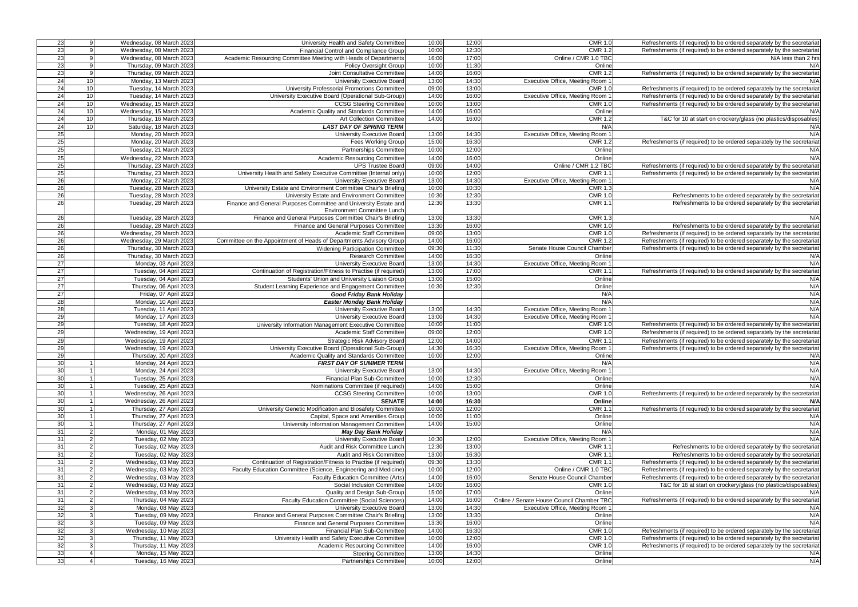| 23<br>23<br>$\overline{23}$<br>$\overline{23}$<br>23<br>24<br>24 | Wednesday, 08 March 2023<br>-91<br>Wednesday, 08 March 2023 | University Health and Safety Committee                              |                |                |                                           |                                                                        |
|------------------------------------------------------------------|-------------------------------------------------------------|---------------------------------------------------------------------|----------------|----------------|-------------------------------------------|------------------------------------------------------------------------|
|                                                                  |                                                             |                                                                     | 10:00          | 12:00          | <b>CMR 1.0</b>                            | Refreshments (if required) to be ordered separately by the secretariat |
|                                                                  |                                                             | Financial Control and Compliance Group                              | 10:00          | 12:30          | <b>CMR 1.2</b>                            | Refreshments (if required) to be ordered separately by the secretariat |
|                                                                  | Wednesday, 08 March 2023                                    | Academic Resourcing Committee Meeting with Heads of Departments     | 16:00          | 17:00          | Online / CMR 1.0 TBC                      | $N/A$ less than 2 hrs                                                  |
|                                                                  |                                                             |                                                                     |                |                |                                           |                                                                        |
|                                                                  | Thursday, 09 March 2023                                     | Policy Oversight Group                                              | 10:00          | 11:30          | Online                                    | N/A                                                                    |
|                                                                  | Thursday, 09 March 2023                                     | Joint Consultative Committee                                        | 14:00          | 16:00          | <b>CMR 1.2</b>                            | Refreshments (if required) to be ordered separately by the secretariat |
|                                                                  | 10<br>Monday, 13 March 2023                                 | University Executive Board                                          | 13:00          | 14:30          | Executive Office, Meeting Room '          | N/A                                                                    |
|                                                                  | 10<br>Tuesday, 14 March 2023                                | University Professorial Promotions Committee                        | 09:00          | 13:00          | <b>CMR 1.0</b>                            | Refreshments (if required) to be ordered separately by the secretariat |
|                                                                  |                                                             |                                                                     |                |                |                                           |                                                                        |
| 24                                                               | 10<br>Tuesday, 14 March 2023                                | University Executive Board (Operational Sub-Group)                  | 14:00          | 16:00          | Executive Office, Meeting Room            | Refreshments (if required) to be ordered separately by the secretariat |
| $\overline{24}$                                                  | 10<br>Wednesday, 15 March 2023                              | <b>CCSG Steering Committee</b>                                      | 10:00          | 13:00          | <b>CMR 1.0</b>                            | Refreshments (if required) to be ordered separately by the secretariat |
| 24                                                               | 10<br>Wednesday, 15 March 2023                              | Academic Quality and Standards Committee                            | 14:00          | 16:00          | Online                                    | N/A                                                                    |
| 24                                                               | 10<br>Thursday, 16 March 2023                               |                                                                     | 14:00          | 16:00          | <b>CMR 1.2</b>                            |                                                                        |
|                                                                  |                                                             | Art Collection Committee                                            |                |                |                                           | T&C for 10 at start on crockery/glass (no plastics/disposables)        |
| 24                                                               | 10 <sup>1</sup><br>Saturday, 18 March 2023                  | <b>LAST DAY OF SPRING TERM</b>                                      |                |                | N/A                                       | N/A                                                                    |
| 25                                                               | Monday, 20 March 2023                                       | University Executive Board                                          | 13:00          | 14:30          | Executive Office, Meeting Room            | N/A                                                                    |
| 25                                                               | Monday, 20 March 2023                                       | Fees Working Group                                                  | 15:00          | 16:30          | <b>CMR 1.2</b>                            | Refreshments (if required) to be ordered separately by the secretariat |
|                                                                  |                                                             |                                                                     |                |                |                                           |                                                                        |
| 25                                                               | Tuesday, 21 March 2023                                      | Partnerships Committee                                              | 10:00          | 12:00          | Online                                    | N/A                                                                    |
| 25                                                               | Wednesday, 22 March 2023                                    | Academic Resourcing Committee                                       | 14:00          | 16:00          | Online                                    | N/A                                                                    |
| 25                                                               | Thursday, 23 March 2023                                     | <b>UPS Trustee Board</b>                                            | 09:00          | 14:00          | Online / CMR 1.2 TBC                      | Refreshments (if required) to be ordered separately by the secretariat |
| 25                                                               | Thursday, 23 March 2023                                     | University Health and Safety Executive Committee (Internal only)    | 10:00          | 12:00          | <b>CMR 1.1</b>                            | Refreshments (if required) to be ordered separately by the secretariat |
|                                                                  |                                                             |                                                                     |                |                |                                           |                                                                        |
| $\overline{26}$                                                  | Monday, 27 March 2023                                       | University Executive Board                                          | 13:00          | 14:30          | Executive Office, Meeting Room            | N/A                                                                    |
| 26                                                               | Tuesday, 28 March 2023                                      | University Estate and Environment Committee Chair's Briefing        | 10:00          | 10:30          | <b>CMR 1.3</b>                            | N/A                                                                    |
| 26                                                               | Tuesday, 28 March 2023                                      | University Estate and Environment Committee                         | 10:30          | 12:30          | <b>CMR 1.0</b>                            | Refreshments to be ordered separately by the secretariat               |
| $\overline{26}$                                                  | Tuesday, 28 March 2023                                      | Finance and General Purposes Committee and University Estate and    | 12:30          | 13:30          | <b>CMR 1.1</b>                            | Refreshments to be ordered separately by the secretariat               |
|                                                                  |                                                             |                                                                     |                |                |                                           |                                                                        |
|                                                                  |                                                             | <b>Environment Committee Lunch</b>                                  |                |                |                                           |                                                                        |
| 26                                                               | Tuesday, 28 March 2023                                      | Finance and General Purposes Committee Chair's Briefing             | 13:00          | 13:30          | <b>CMR 1.3</b>                            | N/A                                                                    |
| $\overline{26}$                                                  | Tuesday, 28 March 2023                                      | Finance and General Purposes Committee                              | 13:30          | 16:00          | <b>CMR 1.0</b>                            | Refreshments to be ordered separately by the secretariat               |
| $\overline{26}$                                                  | Wednesday, 29 March 2023                                    | Academic Staff Committee                                            | 09:00          | 13:00          | <b>CMR 1.0</b>                            | Refreshments (if required) to be ordered separately by the secretariat |
|                                                                  |                                                             |                                                                     |                |                |                                           |                                                                        |
| 26                                                               | Wednesday, 29 March 2023                                    | Committee on the Appointment of Heads of Departments Advisory Group | 14:00          | 16:00          | <b>CMR 1.2</b>                            | Refreshments (if required) to be ordered separately by the secretariat |
| $\overline{26}$                                                  | Thursday, 30 March 2023                                     | <b>Widening Participation Committee</b>                             | 09:30          | 11:30          | Senate House Council Chamber              | Refreshments (if required) to be ordered separately by the secretariat |
| $\overline{26}$                                                  | Thursday, 30 March 2023                                     | Research Committee                                                  | 14:00          | 16:30          | Online                                    | N/A                                                                    |
|                                                                  |                                                             |                                                                     |                |                |                                           | N/A                                                                    |
| $\overline{27}$                                                  | Monday, 03 April 2023                                       | University Executive Board                                          | 13:00          | 14:30          | Executive Office, Meeting Room            |                                                                        |
| 27                                                               | Tuesday, 04 April 2023                                      | Continuation of Registration/Fitness to Practise (if required)      | 13:00          | 17:00          | <b>CMR 1.1</b>                            | Refreshments (if required) to be ordered separately by the secretariat |
| 27                                                               | Tuesday, 04 April 2023                                      | Students' Union and University Liaison Group                        | 13:00          | 15:00          | Online                                    | N/A                                                                    |
| 27                                                               | Thursday, 06 April 2023                                     | Student Learning Experience and Engagement Committee                | 10:30          | 12:30          | Online                                    | N/A                                                                    |
|                                                                  |                                                             |                                                                     |                |                |                                           |                                                                        |
| 27                                                               | Friday, 07 April 2023                                       | <b>Good Friday Bank Holiday</b>                                     |                |                | N/A                                       | N/A                                                                    |
| 28                                                               | Monday, 10 April 2023                                       | <b>Easter Monday Bank Holiday</b>                                   |                |                | N/A                                       | N/A                                                                    |
| 28                                                               | Tuesday, 11 April 2023                                      | University Executive Board                                          | 13:00          | 14:30          | Executive Office, Meeting Room '          | N/A                                                                    |
|                                                                  | Monday, 17 April 2023                                       |                                                                     | 13:00          | 14:30          | Executive Office, Meeting Room 1          | N/A                                                                    |
|                                                                  |                                                             |                                                                     |                |                |                                           |                                                                        |
| 29                                                               |                                                             | University Executive Board                                          |                |                |                                           |                                                                        |
| 29                                                               | Tuesday, 18 April 2023                                      | University Information Management Executive Committee               | 10:00          | 11:00          | <b>CMR 1.0</b>                            | Refreshments (if required) to be ordered separately by the secretariat |
| 29                                                               | Wednesday, 19 April 2023                                    | Academic Staff Committee                                            | 09:00          | 12:00          | <b>CMR 1.0</b>                            | Refreshments (if required) to be ordered separately by the secretariat |
|                                                                  |                                                             |                                                                     |                |                |                                           |                                                                        |
| 29                                                               | Wednesday, 19 April 2023                                    | Strategic Risk Advisory Board                                       | 12:00          | 14:00          | <b>CMR 1.1</b>                            | Refreshments (if required) to be ordered separately by the secretariat |
| 29                                                               | Wednesday, 19 April 2023                                    | University Executive Board (Operational Sub-Group)                  | 14:30          | 16:30          | Executive Office, Meeting Room '          | Refreshments (if required) to be ordered separately by the secretariat |
| 29                                                               | Thursday, 20 April 2023                                     | Academic Quality and Standards Committee                            | 10:00          | 12:00          | Online                                    | N/A                                                                    |
|                                                                  |                                                             |                                                                     |                |                | N/A                                       |                                                                        |
| 30 <sup>1</sup>                                                  | Monday, 24 April 2023                                       | <b>FIRST DAY OF SUMMER TERM</b>                                     |                |                |                                           | N/A                                                                    |
| 30                                                               | Monday, 24 April 2023                                       | University Executive Board                                          | 13:00          | 14:30          | Executive Office, Meeting Room 1          | N/A                                                                    |
| 30                                                               | Tuesday, 25 April 2023                                      | Financial Plan Sub-Committee                                        | 10:00          | 12:30          | Online                                    | N/A                                                                    |
| 30                                                               | Tuesday, 25 April 2023                                      | Nominations Committee (if required)                                 | 14:00          | 15:00          | Online                                    | N/A                                                                    |
|                                                                  |                                                             |                                                                     |                |                |                                           |                                                                        |
| 30                                                               | Wednesday, 26 April 2023                                    | <b>CCSG Steering Committee</b>                                      | 10:00          | 13:00          | <b>CMR 1.0</b>                            | Refreshments (if required) to be ordered separately by the secretariat |
| 30                                                               | Wednesday, 26 April 2023                                    | <b>SENATE</b>                                                       | 14:00          | 16:30          | Online                                    | N/A                                                                    |
| 30                                                               | Thursday, 27 April 2023                                     | University Genetic Modification and Biosafety Committee             | 10:00          | 12:00          | <b>CMR 1.1</b>                            | Refreshments (if required) to be ordered separately by the secretariat |
| 30                                                               | Thursday, 27 April 2023                                     | Capital, Space and Amenities Group                                  | 10:00          | 11:00          | Online                                    | N/A                                                                    |
| 30                                                               |                                                             | University Information Management Committee                         | 14:00          | 15:00          | Online                                    | N/A                                                                    |
|                                                                  | Thursday, 27 April 2023                                     |                                                                     |                |                |                                           |                                                                        |
| 31                                                               | Monday, 01 May 2023                                         | <b>May Day Bank Holiday</b>                                         |                |                | N/A                                       | N/A                                                                    |
| 31                                                               | Tuesday, 02 May 2023                                        | University Executive Board                                          | 10:30          | 12:00          | Executive Office, Meeting Room            | N/A                                                                    |
| 31                                                               | Tuesday, 02 May 2023                                        | Audit and Risk Committee Lunch                                      | 12:30          | 13:00          | CMR 1.                                    | Refreshments to be ordered separately by the secretariat               |
|                                                                  |                                                             | Audit and Risk Committee                                            |                |                |                                           |                                                                        |
| 31                                                               | Tuesday, 02 May 2023                                        |                                                                     | 13:00          | 16:30          | <b>CMR 1.1</b>                            | Refreshments to be ordered separately by the secretariat               |
| 31                                                               | Wednesday, 03 May 2023                                      | Continuation of Registration/Fitness to Practise (if required)      | 09:30          | 13:30          | <b>CMR 1.1</b>                            | Refreshments (if required) to be ordered separately by the secretariat |
| 31                                                               | Wednesday, 03 May 2023                                      | Faculty Education Committee (Science, Engineering and Medicine)     | 10:00          | 12:00          | Online / CMR 1.0 TBC                      | Refreshments (if required) to be ordered separately by the secretariat |
| 31                                                               | Wednesday, 03 May 2023                                      | Faculty Education Committee (Arts)                                  | 14:00          | 16:00          | Senate House Council Chamber              | Refreshments (if required) to be ordered separately by the secretariat |
|                                                                  |                                                             |                                                                     |                |                |                                           |                                                                        |
| 31                                                               | Wednesday, 03 May 2023                                      | Social Inclusion Committee                                          | 14:00          | 16:00          | <b>CMR 1.0</b>                            | T&C for 16 at start on crockery/glass (no plastics/disposables)        |
| 31                                                               | Wednesday, 03 May 2023                                      | Quality and Design Sub-Group                                        | 15:00          | 17:00          | Online                                    | N/A                                                                    |
| 31                                                               | Thursday, 04 May 2023                                       | Faculty Education Committee (Social Sciences)                       | 14:00          | 16:00          | Online / Senate House Council Chamber TBC | Refreshments (if required) to be ordered separately by the secretariat |
| 32                                                               | Monday, 08 May 2023                                         | University Executive Board                                          | 13:00          | 14:30          | Executive Office, Meeting Room '          | N/A                                                                    |
|                                                                  |                                                             |                                                                     |                |                |                                           |                                                                        |
| $\overline{32}$                                                  | Tuesday, 09 May 2023                                        | Finance and General Purposes Committee Chair's Briefing             | 13:00          | 13:30          | Online                                    | N/A                                                                    |
| 32                                                               | Tuesday, 09 May 2023                                        | Finance and General Purposes Committee                              | 13:30          | 16:00          | Online                                    | N/A                                                                    |
| 32                                                               | Wednesday, 10 May 2023                                      | Financial Plan Sub-Committee                                        | 14:00          | 16:30          | <b>CMR 1.0</b>                            | Refreshments (if required) to be ordered separately by the secretariat |
| 32                                                               | Thursday, 11 May 2023                                       | University Health and Safety Executive Committee                    | 10:00          | 12:00          | <b>CMR 1.0</b>                            | Refreshments (if required) to be ordered separately by the secretariat |
|                                                                  |                                                             |                                                                     |                |                |                                           |                                                                        |
| 32                                                               | Thursday, 11 May 2023                                       | Academic Resourcing Committee                                       | 14:00          | 16:00          | <b>CMR 1.0</b>                            | Refreshments (if required) to be ordered separately by the secretariat |
| 33<br>33                                                         | Monday, 15 May 2023<br>Tuesday, 16 May 2023                 | <b>Steering Committee</b><br>Partnerships Committee                 | 13:00<br>10:00 | 14:30<br>12:00 | Online<br>Online                          | N/A<br>N/A                                                             |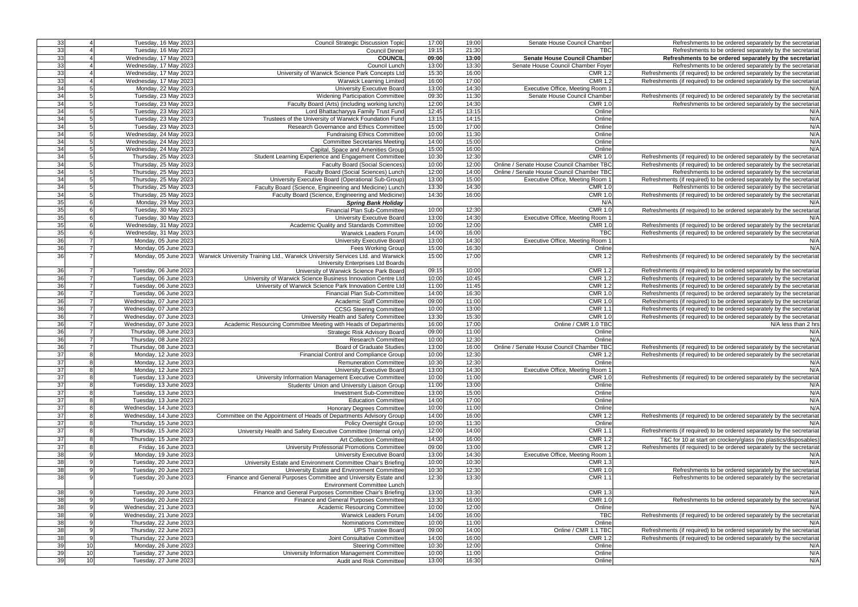| 33 |                 | Tuesday, 16 May 2023    |                                                                                | 17:00 | 19:00 | Senate House Council Chamber              |                                                                        |
|----|-----------------|-------------------------|--------------------------------------------------------------------------------|-------|-------|-------------------------------------------|------------------------------------------------------------------------|
|    |                 |                         | <b>Council Strategic Discussion Topic</b>                                      |       |       |                                           | Refreshments to be ordered separately by the secretariat               |
| 33 |                 | Tuesday, 16 May 2023    | <b>Council Dinner</b>                                                          | 19:15 | 21:30 | <b>TBC</b>                                | Refreshments to be ordered separately by the secretariat               |
| 33 |                 | Wednesday, 17 May 2023  | <b>COUNCIL</b>                                                                 | 09:00 | 13:00 | <b>Senate House Council Chamber</b>       | Refreshments to be ordered separately by the secretariat               |
| 33 |                 | Wednesday, 17 May 2023  | Council Lunch                                                                  | 13:00 | 13:30 | Senate House Council Chamber Foyer        | Refreshments to be ordered separately by the secretariat               |
| 33 |                 | Wednesday, 17 May 2023  | University of Warwick Science Park Concepts Ltd                                | 15:30 | 16:00 | <b>CMR 1.2</b>                            | Refreshments (if required) to be ordered separately by the secretariat |
| 33 |                 | Wednesday, 17 May 2023  | <b>Warwick Learning Limited</b>                                                | 16:00 | 17:00 | <b>CMR 1.2</b>                            | Refreshments (if required) to be ordered separately by the secretariat |
| 34 |                 | Monday, 22 May 2023     | <b>University Executive Board</b>                                              | 13:00 | 14:30 | Executive Office, Meeting Room            | N/A                                                                    |
| 34 |                 | Tuesday, 23 May 2023    | <b>Widening Participation Committee</b>                                        | 09:30 | 11:30 | Senate House Council Chamber              | Refreshments (if required) to be ordered separately by the secretariat |
|    |                 |                         |                                                                                |       |       |                                           |                                                                        |
| 34 |                 | Tuesday, 23 May 2023    | Faculty Board (Arts) (including working lunch)                                 | 12:00 | 14:30 | <b>CMR 1.0</b>                            | Refreshments to be ordered separately by the secretariat               |
| 34 |                 | Tuesday, 23 May 2023    | Lord Bhattacharyya Family Trust Fund                                           | 12:45 | 13:15 | Online                                    | N/A                                                                    |
| 34 |                 | Tuesday, 23 May 2023    | Trustees of the University of Warwick Foundation Fund                          | 13:15 | 14:15 | Online                                    | N/A                                                                    |
| 34 |                 | Tuesday, 23 May 2023    | Research Governance and Ethics Committee                                       | 15:00 | 17:00 | Online                                    | N/A                                                                    |
| 34 | 5               | Wednesday, 24 May 2023  | <b>Fundraising Ethics Committee</b>                                            | 10:00 | 11:30 | Online                                    | N/A                                                                    |
| 34 | 5               | Wednesday, 24 May 2023  | <b>Committee Secretaries Meeting</b>                                           | 14:00 | 15:00 | Online                                    | N/A                                                                    |
| 34 |                 | Wednesday, 24 May 2023  | Capital, Space and Amenities Group                                             | 15:00 | 16:00 | Online                                    | N/A                                                                    |
| 34 |                 | Thursday, 25 May 2023   | Student Learning Experience and Engagement Committee                           | 10:30 | 12:30 | <b>CMR 1.0</b>                            | Refreshments (if required) to be ordered separately by the secretariat |
| 34 |                 | Thursday, 25 May 2023   | Faculty Board (Social Sciences)                                                | 10:00 | 12:00 | Online / Senate House Council Chamber TBC | Refreshments (if required) to be ordered separately by the secretariat |
| 34 |                 | Thursday, 25 May 2023   | Faculty Board (Social Sciences) Lunch                                          | 12:00 | 14:00 | Online / Senate House Council Chamber TBC | Refreshments to be ordered separately by the secretariat               |
|    |                 |                         |                                                                                |       |       | Executive Office, Meeting Room            |                                                                        |
| 34 |                 | Thursday, 25 May 2023   | University Executive Board (Operational Sub-Group)                             | 13:00 | 15:00 |                                           | Refreshments (if required) to be ordered separately by the secretariat |
| 34 |                 | Thursday, 25 May 2023   | Faculty Board (Science, Engineering and Medicine) Lunch                        | 13:30 | 14:30 | <b>CMR 1.0</b>                            | Refreshments to be ordered separately by the secretariat               |
| 34 | 5               | Thursday, 25 May 2023   | Faculty Board (Science, Engineering and Medicine)                              | 14:30 | 16:00 | <b>CMR 1.0</b>                            | Refreshments (if required) to be ordered separately by the secretariat |
| 35 | 6               | Monday, 29 May 2023     | <b>Spring Bank Holiday</b>                                                     |       |       | N/A                                       | N/A                                                                    |
| 35 | 6               | Tuesday, 30 May 2023    | Financial Plan Sub-Committee                                                   | 10:00 | 12:30 | <b>CMR 1.0</b>                            | Refreshments (if required) to be ordered separately by the secretariat |
| 35 |                 | Tuesday, 30 May 2023    | University Executive Board                                                     | 13:00 | 14:30 | Executive Office, Meeting Room            | N/A                                                                    |
| 35 | 6               | Wednesday, 31 May 2023  | Academic Quality and Standards Committee                                       | 10:00 | 12:00 | <b>CMR 1.0</b>                            | Refreshments (if required) to be ordered separately by the secretariat |
| 35 | 6               | Wednesday, 31 May 2023  | Warwick Leaders Forum                                                          | 14:00 | 16:00 | <b>TBC</b>                                | Refreshments (if required) to be ordered separately by the secretariat |
| 36 |                 | Monday, 05 June 2023    | University Executive Board                                                     | 13:00 | 14:30 | Executive Office, Meeting Room            | N/A                                                                    |
| 36 | $\overline{7}$  |                         |                                                                                | 15:00 | 16:30 | Online                                    | N/A                                                                    |
|    |                 | Monday, 05 June 2023    | Fees Working Group                                                             |       |       |                                           |                                                                        |
| 36 |                 | Monday, 05 June 2023    | Warwick University Training Ltd., Warwick University Services Ltd. and Warwick | 15:00 | 17:00 | <b>CMR 1.2</b>                            | Refreshments (if required) to be ordered separately by the secretariat |
|    |                 |                         | University Enterprises Ltd Boards                                              |       |       |                                           |                                                                        |
| 36 |                 | Tuesday, 06 June 2023   | University of Warwick Science Park Board                                       | 09:15 | 10:00 | <b>CMR 1.2</b>                            | Refreshments (if required) to be ordered separately by the secretariat |
| 36 | $\overline{7}$  | Tuesday, 06 June 2023   | University of Warwick Science Business Innovation Centre Ltd                   | 10:00 | 10:45 | <b>CMR 1.2</b>                            | Refreshments (if required) to be ordered separately by the secretariat |
| 36 | $\overline{7}$  | Tuesday, 06 June 2023   | University of Warwick Science Park Innovation Centre Ltd                       | 11:00 | 11:45 | <b>CMR 1.2</b>                            | Refreshments (if required) to be ordered separately by the secretariat |
| 36 | $\overline{7}$  | Tuesday, 06 June 2023   | Financial Plan Sub-Committee                                                   | 14:00 | 16:30 | <b>CMR 1.0</b>                            | Refreshments (if required) to be ordered separately by the secretariat |
| 36 | $\overline{7}$  | Wednesday, 07 June 2023 | Academic Staff Committee                                                       | 09:00 | 11:00 | <b>CMR 1.0</b>                            | Refreshments (if required) to be ordered separately by the secretariat |
| 36 | $\overline{7}$  | Wednesday, 07 June 2023 | <b>CCSG Steering Committee</b>                                                 | 10:00 | 13:00 | CMR 1.                                    | Refreshments (if required) to be ordered separately by the secretariat |
| 36 | $\overline{7}$  | Wednesday, 07 June 2023 | University Health and Safety Committee                                         | 13:30 | 15:30 | <b>CMR 1.0</b>                            | Refreshments (if required) to be ordered separately by the secretariat |
| 36 |                 | Wednesday, 07 June 2023 | Academic Resourcing Committee Meeting with Heads of Departments                | 16:00 | 17:00 | Online / CMR 1.0 TBC                      | N/A less than 2 hrs                                                    |
| 36 |                 |                         |                                                                                | 09:00 | 11:00 | Online                                    |                                                                        |
|    |                 | Thursday, 08 June 2023  | <b>Strategic Risk Advisory Board</b>                                           |       |       |                                           | N/A                                                                    |
| 36 |                 | Thursday, 08 June 2023  | <b>Research Committee</b>                                                      | 10:00 | 12:30 | Online                                    | N/A                                                                    |
| 36 | $\overline{7}$  | Thursday, 08 June 2023  | <b>Board of Graduate Studies</b>                                               | 13:00 | 16:00 | Online / Senate House Council Chamber TBC | Refreshments (if required) to be ordered separately by the secretariat |
| 37 | 8               | Monday, 12 June 2023    | Financial Control and Compliance Group                                         | 10:00 | 12:30 | <b>CMR 1.2</b>                            | Refreshments (if required) to be ordered separately by the secretariat |
| 37 | 81              | Monday, 12 June 2023    | <b>Remuneration Committee</b>                                                  | 10:30 | 12:30 | Online                                    | N/P                                                                    |
| 37 |                 | Monday, 12 June 2023    | University Executive Board                                                     | 13:00 | 14:30 | Executive Office, Meeting Room 1          | N/A                                                                    |
| 37 |                 | Tuesday, 13 June 2023   | University Information Management Executive Committee                          | 10:00 | 11:00 | <b>CMR 1.0</b>                            | Refreshments (if required) to be ordered separately by the secretariat |
| 37 |                 | Tuesday, 13 June 2023   | Students' Union and University Liaison Group                                   | 11:00 | 13:00 | Online                                    | N/A                                                                    |
| 37 | 8               | Tuesday, 13 June 2023   | Investment Sub-Committee                                                       | 13:00 | 15:00 | Online                                    | N/A                                                                    |
| 37 |                 | Tuesday, 13 June 2023   | <b>Education Committee</b>                                                     | 14:00 | 17:00 | Online                                    | N/A                                                                    |
| 37 |                 | Wednesday, 14 June 2023 | <b>Honorary Degrees Committee</b>                                              | 10:00 | 11:00 | Online                                    | N/A                                                                    |
|    |                 |                         |                                                                                |       |       |                                           |                                                                        |
| 37 |                 | Wednesday, 14 June 2023 | Committee on the Appointment of Heads of Departments Advisory Group            | 14:00 | 16:00 | <b>CMR 1.2</b>                            | Refreshments (if required) to be ordered separately by the secretariat |
| 37 |                 | Thursday, 15 June 2023  | <b>Policy Oversight Group</b>                                                  | 10:00 | 11:30 | Online                                    | N/A                                                                    |
| 37 |                 | Thursday, 15 June 2023  | University Health and Safety Executive Committee (Internal only)               | 12:00 | 14:00 | <b>CMR 1.1</b>                            | Refreshments (if required) to be ordered separately by the secretariat |
| 37 |                 | Thursday, 15 June 2023  | <b>Art Collection Committee</b>                                                | 14:00 | 16:00 | <b>CMR 1.2</b>                            | T&C for 10 at start on crockery/glass (no plastics/disposables)        |
| 37 |                 | Friday, 16 June 2023    | University Professorial Promotions Committee                                   | 09:00 | 13:00 | <b>CMR 1.2</b>                            | Refreshments (if required) to be ordered separately by the secretariat |
| 38 |                 | Monday, 19 June 2023    | University Executive Board                                                     | 13:00 | 14:30 | Executive Office, Meeting Room '          | N/A                                                                    |
| 38 |                 | Tuesday, 20 June 2023   | University Estate and Environment Committee Chair's Briefing                   | 10:00 | 10:30 | <b>CMR 1.3</b>                            | N/A                                                                    |
| 38 |                 | Tuesday, 20 June 2023   | University Estate and Environment Committee                                    | 10:30 | 12:30 | <b>CMR 1.0</b>                            | Refreshments to be ordered separately by the secretariat               |
| 38 |                 | Tuesday, 20 June 2023   | Finance and General Purposes Committee and University Estate and               | 12:30 | 13:30 | CMR 1.                                    | Refreshments to be ordered separately by the secretariat               |
|    |                 |                         | <b>Environment Committee Lunch</b>                                             |       |       |                                           |                                                                        |
|    | 9               | Tuesday, 20 June 2023   | Finance and General Purposes Committee Chair's Briefing                        | 13:00 | 13:30 | <b>CMR 1.3</b>                            | N/A                                                                    |
| 38 |                 |                         |                                                                                |       |       |                                           |                                                                        |
| 38 |                 | Tuesday, 20 June 2023   | Finance and General Purposes Committee                                         | 13:30 | 16:00 | <b>CMR 1.0</b>                            | Refreshments to be ordered separately by the secretariat               |
| 38 | 9               | Wednesday, 21 June 2023 | Academic Resourcing Committee                                                  | 10:00 | 12:00 | Online                                    | N/A                                                                    |
| 38 |                 | Wednesday, 21 June 2023 | Warwick Leaders Forum                                                          | 14:00 | 16:00 | TBC                                       | Refreshments (if required) to be ordered separately by the secretariat |
| 38 |                 | Thursday, 22 June 2023  | Nominations Committee                                                          | 10:00 | 11:00 | Online                                    | N/A                                                                    |
| 38 |                 | Thursday, 22 June 2023  | <b>UPS Trustee Board</b>                                                       | 09:00 | 14:00 | Online / CMR 1.1 TBC                      | Refreshments (if required) to be ordered separately by the secretariat |
| 38 | $\mathbf{Q}$    | Thursday, 22 June 2023  | Joint Consultative Committee                                                   | 14:00 | 16:00 | $CMR$ 1.2                                 | Refreshments (if required) to be ordered separately by the secretariat |
| 39 | 10 <sub>1</sub> | Monday, 26 June 2023    | <b>Steering Committee</b>                                                      | 10:30 | 12:00 | Online                                    | N/A                                                                    |
| 39 | 10              | Tuesday, 27 June 2023   | University Information Management Committee                                    | 10:00 | 11:00 | Online                                    | N/A                                                                    |
| 39 | 10 <sup>1</sup> | Tuesday, 27 June 2023   | Audit and Risk Committee                                                       | 13:00 | 16:30 | Online                                    | N/A                                                                    |
|    |                 |                         |                                                                                |       |       |                                           |                                                                        |

| Refreshments to be ordered separately by the secretariat             |
|----------------------------------------------------------------------|
| Refreshments to be ordered separately by the secretariat             |
| Refreshments to be ordered separately by the secretariat             |
| Refreshments to be ordered separately by the secretariat             |
| freshments (if required) to be ordered separately by the secretariat |
| freshments (if required) to be ordered separately by the secretariat |
| N/A                                                                  |
| freshments (if required) to be ordered separately by the secretariat |
| Refreshments to be ordered separately by the secretariat             |
| N/A                                                                  |
| N/A                                                                  |
| N/A                                                                  |
| N/A                                                                  |
| N/A                                                                  |
| N/A                                                                  |
| freshments (if required) to be ordered separately by the secretariat |
| freshments (if required) to be ordered separately by the secretariat |
| Refreshments to be ordered separately by the secretariat             |
| freshments (if required) to be ordered separately by the secretariat |
| Refreshments to be ordered separately by the secretariat             |
| freshments (if required) to be ordered separately by the secretariat |
| N/A                                                                  |
| freshments (if required) to be ordered separately by the secretariat |
| N/A                                                                  |
| freshments (if required) to be ordered separately by the secretariat |
| freshments (if required) to be ordered separately by the secretariat |
| N/A                                                                  |
| N/A                                                                  |
| freshments (if required) to be ordered separately by the secretariat |
|                                                                      |
| freshments (if required) to be ordered separately by the secretariat |
| freshments (if required) to be ordered separately by the secretariat |
| freshments (if required) to be ordered separately by the secretariat |
| freshments (if required) to be ordered separately by the secretariat |
| freshments (if required) to be ordered separately by the secretariat |
| freshments (if required) to be ordered separately by the secretariat |
| freshments (if required) to be ordered separately by the secretariat |
| N/A less than 2 hrs                                                  |
| N/A                                                                  |
| N/A                                                                  |
| freshments (if required) to be ordered separately by the secretariat |
| freshments (if required) to be ordered separately by the secretariat |
|                                                                      |
| N/A<br>N/A                                                           |
| freshments (if required) to be ordered separately by the secretariat |
|                                                                      |
| N/A                                                                  |
| N/A                                                                  |
| N/A                                                                  |
| N/A                                                                  |
| freshments (if required) to be ordered separately by the secretariat |
| N/A                                                                  |
| freshments (if required) to be ordered separately by the secretariat |
| T&C for 10 at start on crockery/glass (no plastics/disposables)      |
| freshments (if required) to be ordered separately by the secretariat |
| N/A                                                                  |
| N/A                                                                  |
| Refreshments to be ordered separately by the secretariat             |
| Refreshments to be ordered separately by the secretariat             |
|                                                                      |
| N/A                                                                  |
| Refreshments to be ordered separately by the secretariat             |
| N/A                                                                  |
| freshments (if required) to be ordered separately by the secretariat |
| N/A                                                                  |
| freshments (if required) to be ordered separately by the secretariat |
| freshments (if required) to be ordered separately by the secretariat |
| N/A                                                                  |
| N/A                                                                  |
| N/A                                                                  |
|                                                                      |